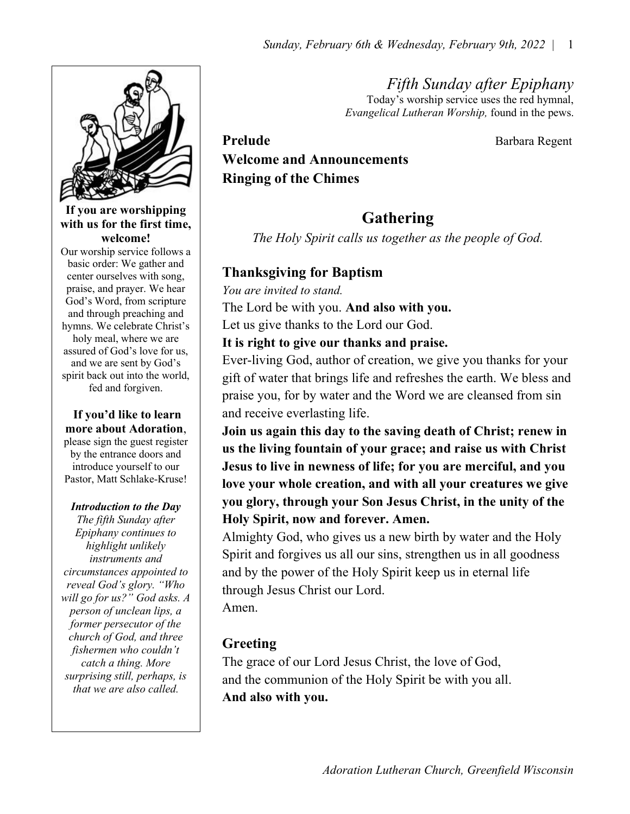Fifth Sunday after Epiphany Today's worship service uses the red hymnal, Evangelical Lutheran Worship, found in the pews.



#### If you are worshipping with us for the first time, welcome!

Our worship service follows a basic order: We gather and center ourselves with song, praise, and prayer. We hear God's Word, from scripture and through preaching and hymns. We celebrate Christ's holy meal, where we are assured of God's love for us, and we are sent by God's spirit back out into the world, fed and forgiven.

### If you'd like to learn more about Adoration,

please sign the guest register by the entrance doors and introduce yourself to our Pastor, Matt Schlake-Kruse!

#### Introduction to the Day

The fifth Sunday after Epiphany continues to highlight unlikely instruments and circumstances appointed to reveal God's glory. "Who will go for us?" God asks. A person of unclean lips, a former persecutor of the church of God, and three fishermen who couldn't catch a thing. More surprising still, perhaps, is that we are also called.

Prelude Barbara Regent Welcome and Announcements Ringing of the Chimes

# Gathering

The Holy Spirit calls us together as the people of God.

## Thanksgiving for Baptism

You are invited to stand. The Lord be with you. And also with you. Let us give thanks to the Lord our God.

It is right to give our thanks and praise.

Ever-living God, author of creation, we give you thanks for your gift of water that brings life and refreshes the earth. We bless and praise you, for by water and the Word we are cleansed from sin and receive everlasting life.

Join us again this day to the saving death of Christ; renew in us the living fountain of your grace; and raise us with Christ Jesus to live in newness of life; for you are merciful, and you love your whole creation, and with all your creatures we give you glory, through your Son Jesus Christ, in the unity of the Holy Spirit, now and forever. Amen.

Almighty God, who gives us a new birth by water and the Holy Spirit and forgives us all our sins, strengthen us in all goodness and by the power of the Holy Spirit keep us in eternal life through Jesus Christ our Lord.

Amen.

# Greeting

The grace of our Lord Jesus Christ, the love of God, and the communion of the Holy Spirit be with you all. And also with you.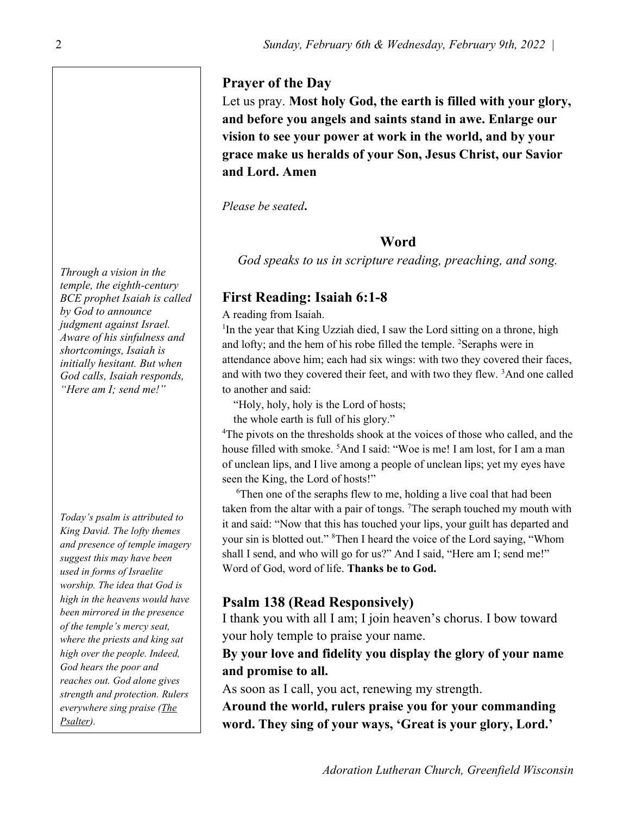#### Prayer of the Day

Let us pray. Most holy God, the earth is filled with your glory, and before you angels and saints stand in awe. Enlarge our vision to see your power at work in the world, and by your grace make us heralds of your Son, Jesus Christ, our Savior and Lord. Amen

Please be seated.

#### Word

God speaks to us in scripture reading, preaching, and song.

## First Reading: Isaiah 6:1-8

A reading from Isaiah.

<sup>1</sup>In the year that King Uzziah died, I saw the Lord sitting on a throne, high and lofty; and the hem of his robe filled the temple. <sup>2</sup>Seraphs were in attendance above him; each had six wings: with two they covered their faces, and with two they covered their feet, and with two they flew. <sup>3</sup>And one called to another and said:

"Holy, holy, holy is the Lord of hosts;

the whole earth is full of his glory."

<sup>4</sup>The pivots on the thresholds shook at the voices of those who called, and the house filled with smoke. <sup>5</sup>And I said: "Woe is me! I am lost, for I am a man of unclean lips, and I live among a people of unclean lips; yet my eyes have seen the King, the Lord of hosts!"

 $6$ Then one of the seraphs flew to me, holding a live coal that had been taken from the altar with a pair of tongs.  $^7$ The seraph touched my mouth with it and said: "Now that this has touched your lips, your guilt has departed and your sin is blotted out." <sup>8</sup>Then I heard the voice of the Lord saying, "Whom shall I send, and who will go for us?" And I said, "Here am I; send me!" Word of God, word of life. Thanks be to God.

## Psalm 138 (Read Responsively)

I thank you with all I am; I join heaven's chorus. I bow toward your holy temple to praise your name.

## By your love and fidelity you display the glory of your name and promise to all.

As soon as I call, you act, renewing my strength.

Around the world, rulers praise you for your commanding word. They sing of your ways, 'Great is your glory, Lord.'

Through a vision in the temple, the eighth-century BCE prophet Isaiah is called by God to announce judgment against Israel. Aware of his sinfulness and shortcomings, Isaiah is initially hesitant. But when God calls, Isaiah responds, "Here am I; send me!"

Today's psalm is attributed to King David. The lofty themes and presence of temple imagery suggest this may have been used in forms of Israelite worship. The idea that God is high in the heavens would have been mirrored in the presence of the temple's mercy seat, where the priests and king sat high over the people. Indeed, God hears the poor and reaches out. God alone gives strength and protection. Rulers everywhere sing praise (The Psalter).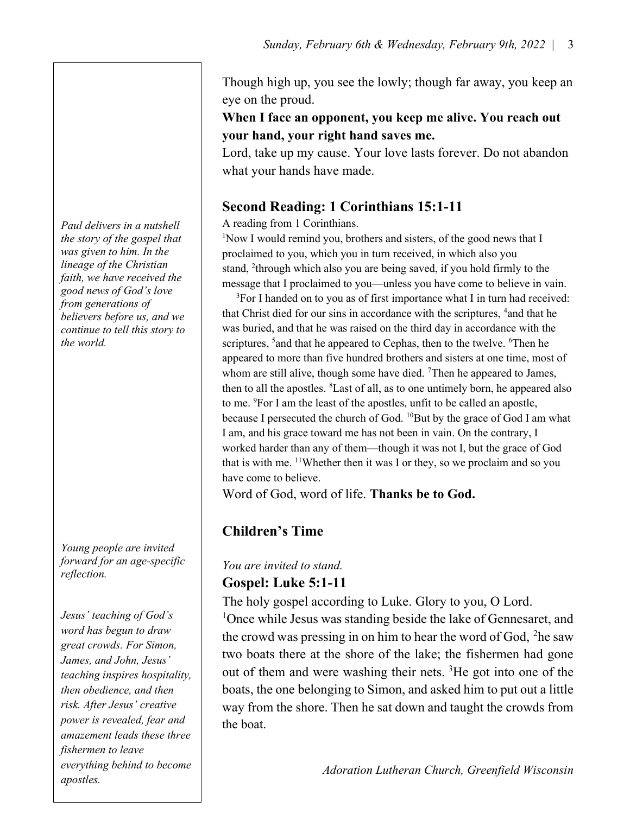Though high up, you see the lowly; though far away, you keep an eye on the proud.

## When I face an opponent, you keep me alive. You reach out your hand, your right hand saves me.

Lord, take up my cause. Your love lasts forever. Do not abandon what your hands have made.

## Second Reading: 1 Corinthians 15:1-11

A reading from 1 Corinthians.

<sup>1</sup>Now I would remind you, brothers and sisters, of the good news that I proclaimed to you, which you in turn received, in which also you stand, <sup>2</sup>through which also you are being saved, if you hold firmly to the message that I proclaimed to you—unless you have come to believe in vain.

<sup>3</sup>For I handed on to you as of first importance what I in turn had received: that Christ died for our sins in accordance with the scriptures, <sup>4</sup>and that he was buried, and that he was raised on the third day in accordance with the scriptures, <sup>5</sup> and that he appeared to Cephas, then to the twelve. <sup>6</sup>Then he appeared to more than five hundred brothers and sisters at one time, most of whom are still alive, though some have died.  $\textsuperscript{7}$ Then he appeared to James, then to all the apostles. <sup>8</sup>Last of all, as to one untimely born, he appeared also to me. <sup>9</sup>For I am the least of the apostles, unfit to be called an apostle, because I persecuted the church of God. <sup>10</sup>But by the grace of God I am what I am, and his grace toward me has not been in vain. On the contrary, I worked harder than any of them—though it was not I, but the grace of God that is with me.  $11$ Whether then it was I or they, so we proclaim and so you have come to believe.

Word of God, word of life. Thanks be to God.

# Children's Time

## You are invited to stand. Gospel: Luke 5:1-11

The holy gospel according to Luke. Glory to you, O Lord.

<sup>1</sup>Once while Jesus was standing beside the lake of Gennesaret, and the crowd was pressing in on him to hear the word of God,  $^2$ he saw two boats there at the shore of the lake; the fishermen had gone out of them and were washing their nets. <sup>3</sup>He got into one of the boats, the one belonging to Simon, and asked him to put out a little way from the shore. Then he sat down and taught the crowds from the boat.

Adoration Lutheran Church, Greenfield Wisconsin

Paul delivers in a nutshell the story of the gospel that was given to him. In the lineage of the Christian faith, we have received the good news of God's love from generations of believers before us, and we continue to tell this story to the world.

Young people are invited forward for an age-specific reflection.

Jesus' teaching of God's word has begun to draw great crowds. For Simon, James, and John, Jesus' teaching inspires hospitality, then obedience, and then risk. After Jesus' creative power is revealed, fear and amazement leads these three fishermen to leave everything behind to become apostles.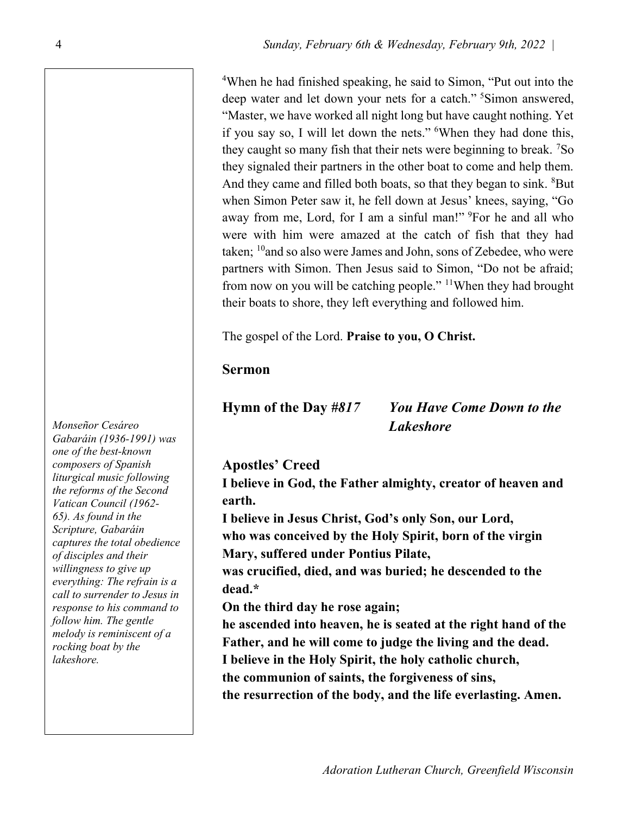<sup>4</sup>When he had finished speaking, he said to Simon, "Put out into the deep water and let down your nets for a catch."<sup>5</sup>Simon answered, "Master, we have worked all night long but have caught nothing. Yet if you say so, I will let down the nets." <sup>6</sup>When they had done this, they caught so many fish that their nets were beginning to break. <sup>7</sup>So they signaled their partners in the other boat to come and help them. And they came and filled both boats, so that they began to sink. <sup>8</sup>But when Simon Peter saw it, he fell down at Jesus' knees, saying, "Go away from me, Lord, for I am a sinful man!" <sup>9</sup>For he and all who were with him were amazed at the catch of fish that they had taken;  $10$ and so also were James and John, sons of Zebedee, who were partners with Simon. Then Jesus said to Simon, "Do not be afraid; from now on you will be catching people." <sup>11</sup>When they had brought their boats to shore, they left everything and followed him.

The gospel of the Lord. Praise to you, O Christ.

### Sermon

## Hymn of the Day #817 You Have Come Down to the Lakeshore

## Apostles' Creed

I believe in God, the Father almighty, creator of heaven and earth.

I believe in Jesus Christ, God's only Son, our Lord, who was conceived by the Holy Spirit, born of the virgin Mary, suffered under Pontius Pilate,

was crucified, died, and was buried; he descended to the dead.\*

On the third day he rose again;

he ascended into heaven, he is seated at the right hand of the Father, and he will come to judge the living and the dead. I believe in the Holy Spirit, the holy catholic church, the communion of saints, the forgiveness of sins, the resurrection of the body, and the life everlasting. Amen.

Monseñor Cesáreo Gabaráin (1936-1991) was one of the best-known composers of Spanish liturgical music following the reforms of the Second Vatican Council (1962- 65). As found in the Scripture, Gabaráin captures the total obedience of disciples and their willingness to give up everything: The refrain is a call to surrender to Jesus in response to his command to follow him. The gentle melody is reminiscent of a rocking boat by the lakeshore.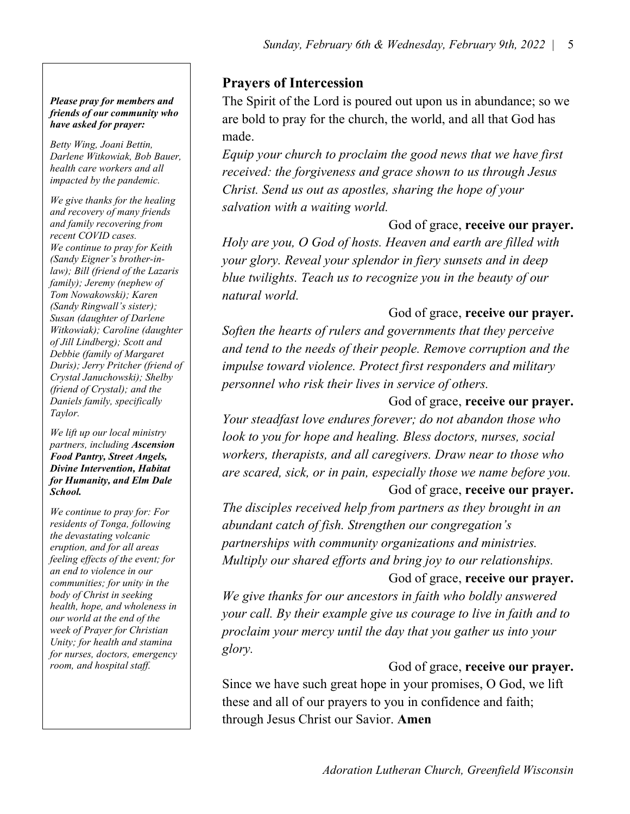#### Please pray for members and friends of our community who have asked for prayer:

Betty Wing, Joani Bettin, Darlene Witkowiak, Bob Bauer, health care workers and all impacted by the pandemic.

Taylor. We give thanks for the healing and recovery of many friends and family recovering from recent COVID cases. We continue to pray for Keith (Sandy Eigner's brother-inlaw); Bill (friend of the Lazaris family); Jeremy (nephew of Tom Nowakowski); Karen (Sandy Ringwall's sister); Susan (daughter of Darlene Witkowiak); Caroline (daughter of Jill Lindberg); Scott and Debbie (family of Margaret Duris); Jerry Pritcher (friend of Crystal Januchowski); Shelby (friend of Crystal); and the Daniels family, specifically

We lift up our local ministry partners, including Ascension Food Pantry, Street Angels, Divine Intervention, Habitat for Humanity, and Elm Dale School.

We continue to pray for: For residents of Tonga, following the devastating volcanic eruption, and for all areas feeling effects of the event; for an end to violence in our communities; for unity in the body of Christ in seeking health, hope, and wholeness in our world at the end of the week of Prayer for Christian Unity; for health and stamina for nurses, doctors, emergency room, and hospital staff.

Prayers of Intercession

The Spirit of the Lord is poured out upon us in abundance; so we are bold to pray for the church, the world, and all that God has made.

Equip your church to proclaim the good news that we have first received: the forgiveness and grace shown to us through Jesus Christ. Send us out as apostles, sharing the hope of your salvation with a waiting world.

### God of grace, receive our prayer.

Holy are you, O God of hosts. Heaven and earth are filled with your glory. Reveal your splendor in fiery sunsets and in deep blue twilights. Teach us to recognize you in the beauty of our natural world.

### God of grace, receive our prayer.

Soften the hearts of rulers and governments that they perceive and tend to the needs of their people. Remove corruption and the impulse toward violence. Protect first responders and military personnel who risk their lives in service of others.

#### God of grace, receive our prayer.

Your steadfast love endures forever; do not abandon those who look to you for hope and healing. Bless doctors, nurses, social workers, therapists, and all caregivers. Draw near to those who are scared, sick, or in pain, especially those we name before you. God of grace, receive our prayer.

The disciples received help from partners as they brought in an abundant catch of fish. Strengthen our congregation's partnerships with community organizations and ministries. Multiply our shared efforts and bring joy to our relationships.

#### God of grace, receive our prayer.

We give thanks for our ancestors in faith who boldly answered your call. By their example give us courage to live in faith and to proclaim your mercy until the day that you gather us into your glory.

#### God of grace, receive our prayer.

Since we have such great hope in your promises, O God, we lift these and all of our prayers to you in confidence and faith; through Jesus Christ our Savior. Amen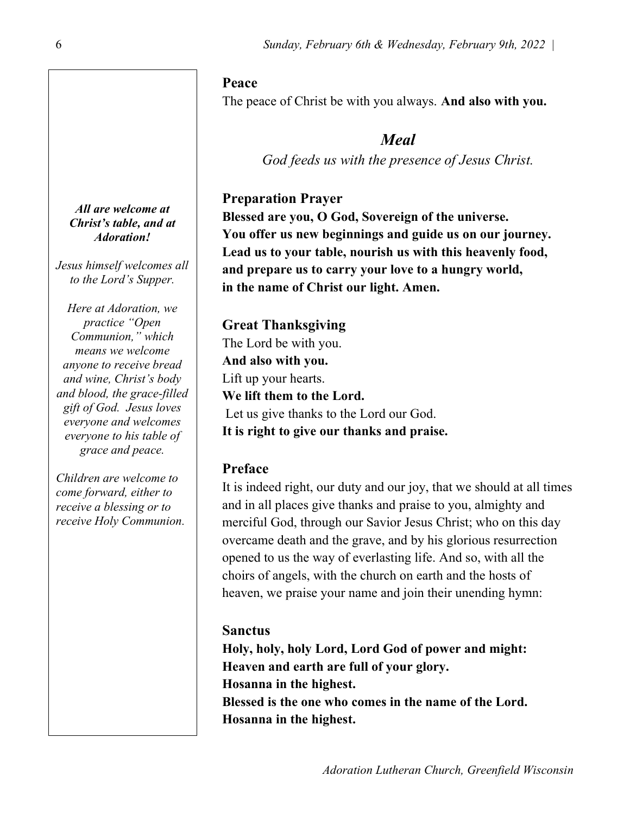### Peace

The peace of Christ be with you always. And also with you.

# Meal

God feeds us with the presence of Jesus Christ.

## Preparation Prayer

Blessed are you, O God, Sovereign of the universe. You offer us new beginnings and guide us on our journey. Lead us to your table, nourish us with this heavenly food, and prepare us to carry your love to a hungry world, in the name of Christ our light. Amen.

Great Thanksgiving The Lord be with you. And also with you. Lift up your hearts. We lift them to the Lord. Let us give thanks to the Lord our God. It is right to give our thanks and praise.

# Preface

It is indeed right, our duty and our joy, that we should at all times and in all places give thanks and praise to you, almighty and merciful God, through our Savior Jesus Christ; who on this day overcame death and the grave, and by his glorious resurrection opened to us the way of everlasting life. And so, with all the choirs of angels, with the church on earth and the hosts of heaven, we praise your name and join their unending hymn:

## **Sanctus**

Holy, holy, holy Lord, Lord God of power and might: Heaven and earth are full of your glory. Hosanna in the highest. Blessed is the one who comes in the name of the Lord. Hosanna in the highest.

All are welcome at Christ's table, and at Adoration!

Jesus himself welcomes all to the Lord's Supper.

Here at Adoration, we practice "Open Communion," which means we welcome anyone to receive bread and wine, Christ's body and blood, the grace-filled gift of God. Jesus loves everyone and welcomes everyone to his table of grace and peace.

Children are welcome to come forward, either to receive a blessing or to receive Holy Communion.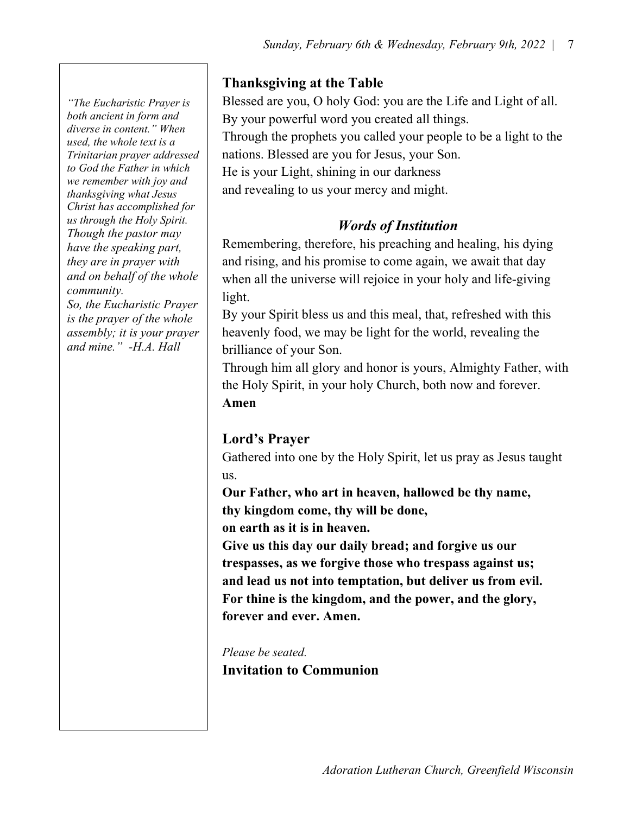"The Eucharistic Prayer is both ancient in form and diverse in content." When used, the whole text is a Trinitarian prayer addressed to God the Father in which we remember with joy and thanksgiving what Jesus Christ has accomplished for us through the Holy Spirit. Though the pastor may have the speaking part, they are in prayer with and on behalf of the whole community.

So, the Eucharistic Prayer is the prayer of the whole assembly; it is your prayer and mine." -H.A. Hall

## Thanksgiving at the Table

Blessed are you, O holy God: you are the Life and Light of all. By your powerful word you created all things. Through the prophets you called your people to be a light to the nations. Blessed are you for Jesus, your Son. He is your Light, shining in our darkness and revealing to us your mercy and might.

## Words of Institution

Remembering, therefore, his preaching and healing, his dying and rising, and his promise to come again, we await that day when all the universe will rejoice in your holy and life-giving light.

By your Spirit bless us and this meal, that, refreshed with this heavenly food, we may be light for the world, revealing the brilliance of your Son.

Through him all glory and honor is yours, Almighty Father, with the Holy Spirit, in your holy Church, both now and forever. Amen

## Lord's Prayer

Gathered into one by the Holy Spirit, let us pray as Jesus taught us.

Our Father, who art in heaven, hallowed be thy name, thy kingdom come, thy will be done,

on earth as it is in heaven.

Give us this day our daily bread; and forgive us our trespasses, as we forgive those who trespass against us; and lead us not into temptation, but deliver us from evil. For thine is the kingdom, and the power, and the glory, forever and ever. Amen.

Please be seated. Invitation to Communion